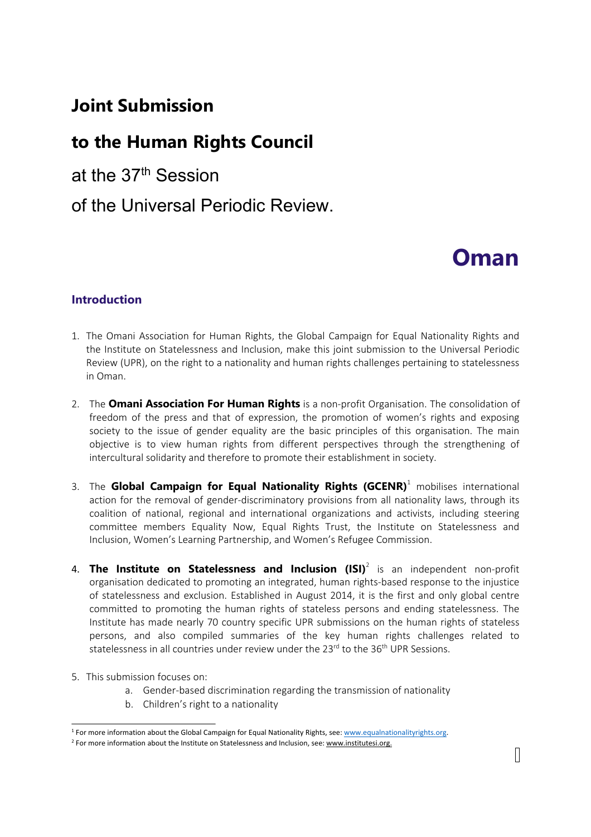# **Joint Submission**

# **to the Human Rights Council**

at the 37th Session

# of the Universal Periodic Review.

# **Oman**

## **Introduction**

- 1. The Omani Association for Human Rights, the Global Campaign for Equal Nationality Rights and the Institute on Statelessness and Inclusion, make this joint submission to the Universal Periodic Review (UPR), on the right to <sup>a</sup> nationality and human rights challenges pertaining to statelessness in Oman.
- 2. The **Omani Association For Human Rights** is <sup>a</sup> non-profit Organisation. The consolidation of freedom of the press and that of expression, the promotion of women'<sup>s</sup> rights and exposing society to the issue of gender equality are the basic principles of this organisation. The main objective is to view human rights from different perspectives through the strengthening of intercultural solidarity and therefore to promote their establishment in society.
- 3. The **Global Campaign for Equal Nationality Rights (GCENR)** 1 mobilises international action for the removal of gender-discriminatory provisions from all nationality laws, through its coalition of national, regional and international organizations and activists, including steering committee members Equality Now, Equal Rights Trust, the Institute on Statelessness and Inclusion, Women'<sup>s</sup> Learning Partnership, and Women'<sup>s</sup> Refugee Commission.
- 4. **The Institute on Statelessness and Inclusion (ISI)** 2 is an independent non-profit organisation dedicated to promoting an integrated, human rights-based response to the injustice of statelessness and exclusion. Established in August 2014, it is the first and only global centre committed to promoting the human rights of stateless persons and ending statelessness. The Institute has made nearly 70 country specific UPR submissions on the human rights of stateless persons, and also compiled summaries of the key human rights challenges related to statelessness in all countries under review under the 23<sup>rd</sup> to the 36<sup>th</sup> UPR Sessions.
- 5. This submission focuses on:
	- a. Gender-based discrimination regarding the transmission of nationality
	- b. Children'<sup>s</sup> right to <sup>a</sup> nationality

<sup>&</sup>lt;sup>1</sup> For more information about the Global Campaign for Equal Nationality Rights, see: [www.equalnationalityrights.org](http://www.equalnationalityrights.org).

<sup>&</sup>lt;sup>2</sup> For more information about the Institute on Statelessness and Inclusion, see: [www.institutesi.org](http://www.institutesi.org).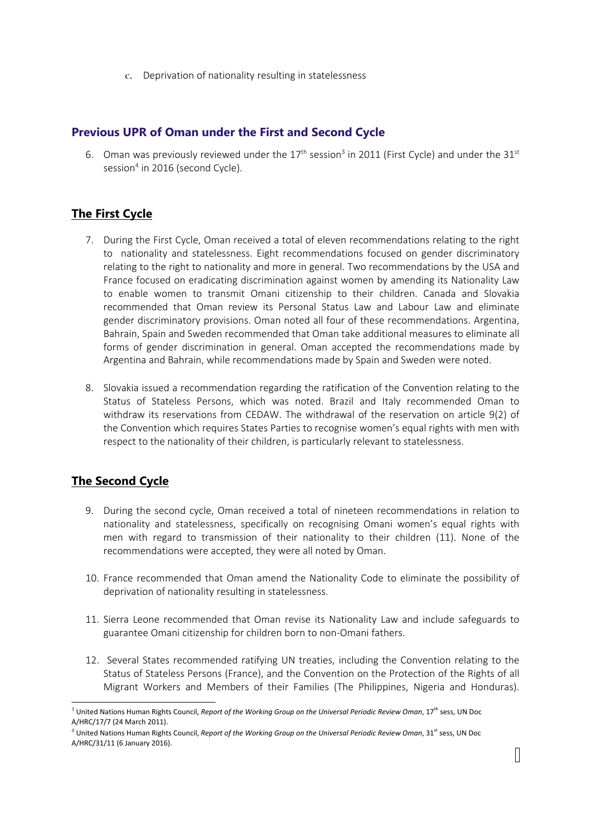c. Deprivation of nationality resulting in statelessness

#### **Previous UPR of Oman under the First and Second Cycle**

6. Oman was previously reviewed under the  $17^{\text{th}}$  session<sup>3</sup> in 2011 (First Cycle) and under the 31st session<sup>4</sup> in 2016 (second Cycle).

# **The First Cycle**

- 7. During the First Cycle, Oman received <sup>a</sup> total of eleven recommendations relating to the right to nationality and statelessness. Eight recommendations focused on gender discriminatory relating to the right to nationality and more in general. Two recommendations by the USA and France focused on eradicating discrimination against women by amending its Nationality Law to enable women to transmit Omani citizenship to their children. Canada and Slovakia recommended that Oman review its Personal Status Law and Labour Law and eliminate gender discriminatory provisions. Oman noted all four of these recommendations. Argentina, Bahrain, Spain and Sweden recommended that Oman take additional measures to eliminate all forms of gender discrimination in general. Oman accepted the recommendations made by Argentina and Bahrain, while recommendations made by Spain and Sweden were noted.
- 8. Slovakia issued <sup>a</sup> recommendation regarding the ratification of the Convention relating to the Status of Stateless Persons, which was noted. Brazil and Italy recommended Oman to withdraw its reservations from CEDAW. The withdrawal of the reservation on article 9(2) of the Convention which requires States Parties to recognise women'<sup>s</sup> equal rights with men with respect to the nationality of their children, is particularly relevant to statelessness.

# **The Second Cycle**

- 9. During the second cycle, Oman received <sup>a</sup> total of nineteen recommendations in relation to nationality and statelessness, specifically on recognising Omani women'<sup>s</sup> equal rights with men with regard to transmission of their nationality to their children (11). None of the recommendations were accepted, they were all noted by Oman.
- 10. France recommended that Oman amend the Nationality Code to eliminate the possibility of deprivation of nationality resulting in statelessness.
- 11. Sierra Leone recommended that Oman revise its Nationality Law and include safeguards to guarantee Omani citizenship for children born to non-Omani fathers.
- 12. Several States recommended ratifying UN treaties, including the Convention relating to the Status of Stateless Persons (France), and the Convention on the Protection of the Rights of all Migrant Workers and Members of their Families (The Philippines, Nigeria and Honduras).

<sup>3</sup> United Nations Human Rights Council, *Report of the Working Group on the Universal Periodic Review Oman*, 17 th sess, UN Doc A/HRC/17/7 (24 March 2011).

<sup>4</sup> United Nations Human Rights Council, *Report of the Working Group on the Universal Periodic Review Oman*, 31 st sess, UN Doc A/HRC/31/11 (6 January 2016).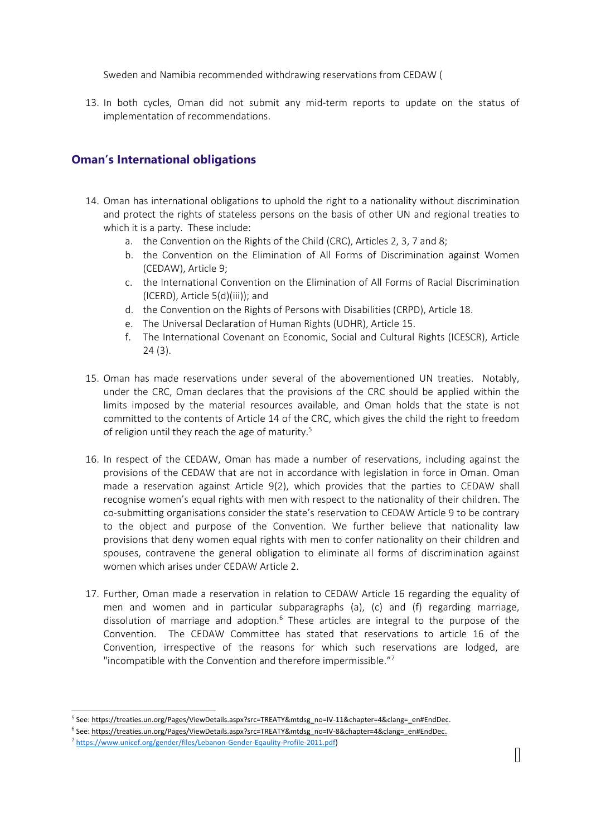Sweden and Namibia recommended withdrawing reservations from CEDAW (

13. In both cycles, Oman did not submit any mid-term reports to update on the status of implementation of recommendations.

### **Oman'<sup>s</sup> International obligations**

- 14. Oman has international obligations to uphold the right to <sup>a</sup> nationality without discrimination and protect the rights of stateless persons on the basis of other UN and regional treaties to which it is <sup>a</sup> party. These include:
	- a. the Convention on the Rights of the Child (CRC), Articles 2, 3, 7 and 8;
	- b. the Convention on the Elimination of All Forms of Discrimination against Women (CEDAW), Article 9;
	- c. the International Convention on the Elimination of All Forms of Racial Discrimination (ICERD), Article 5(d)(iii)); and
	- d. the Convention on the Rights of Persons with Disabilities (CRPD), Article 18.
	- e. The Universal Declaration of Human Rights (UDHR), Article 15.
	- f. The International Covenant on Economic, Social and Cultural Rights (ICESCR), Article 24 (3).
- 15. Oman has made reservations under several of the abovementioned UN treaties. Notably, under the CRC, Oman declares that the provisions of the CRC should be applied within the limits imposed by the material resources available, and Oman holds that the state is not committed to the contents of Article 14 of the CRC, which gives the child the right to freedom of religion until they reach the age of maturity. 5
- 16. In respect of the CEDAW, Oman has made <sup>a</sup> number of reservations, including against the provisions of the CEDAW that are not in accordance with legislation in force in Oman. Oman made <sup>a</sup> reservation against Article 9(2), which provides that the parties to CEDAW shall recognise women'<sup>s</sup> equal rights with men with respect to the nationality of their children. The co-submitting organisations consider the state'<sup>s</sup> reservation to CEDAW Article 9 to be contrary to the object and purpose of the Convention. We further believe that nationality law provisions that deny women equal rights with men to confer nationality on their children and spouses, contravene the general obligation to eliminate all forms of discrimination against women which arises under CEDAW Article 2.
- 17. Further, Oman made <sup>a</sup> reservation in relation to CEDAW Article 16 regarding the equality of men and women and in particular subparagraphs (a), (c) and (f) regarding marriage, dissolution of marriage and adoption.<sup>6</sup> These articles are integral to the purpose of the Convention. The CEDAW Committee has stated that reservations to article 16 of the Convention, irrespective of the reasons for which such reservations are lodged, are "incompatible with the Convention and therefore impermissible."<sup>7</sup>

<sup>&</sup>lt;sup>5</sup> See: [https://treaties.un.org/Pages/ViewDetails.aspx?src=TREATY&mtdsg\\_no=IV-11&chapter=4&clang=\\_en#EndDec](https://treaties.un.org/Pages/ViewDetails.aspx?src=TREATY&mtdsg_no=IV-11&chapter=4&clang=_en%2523EndDec).

<sup>6</sup> See: [https://treaties.un.org/Pages/ViewDetails.aspx?src=TREATY&mtdsg\\_no=IV-8&chapter=4&clang=\\_en#EndDec](https://treaties.un.org/Pages/ViewDetails.aspx?src=TREATY&mtdsg_no=IV-8&chapter=4&clang=_en#EndDec).

<sup>&</sup>lt;sup>7</sup> <https://www.unicef.org/gender/files/Lebanon-Gender-Eqaulity-Profile-2011.pdf>)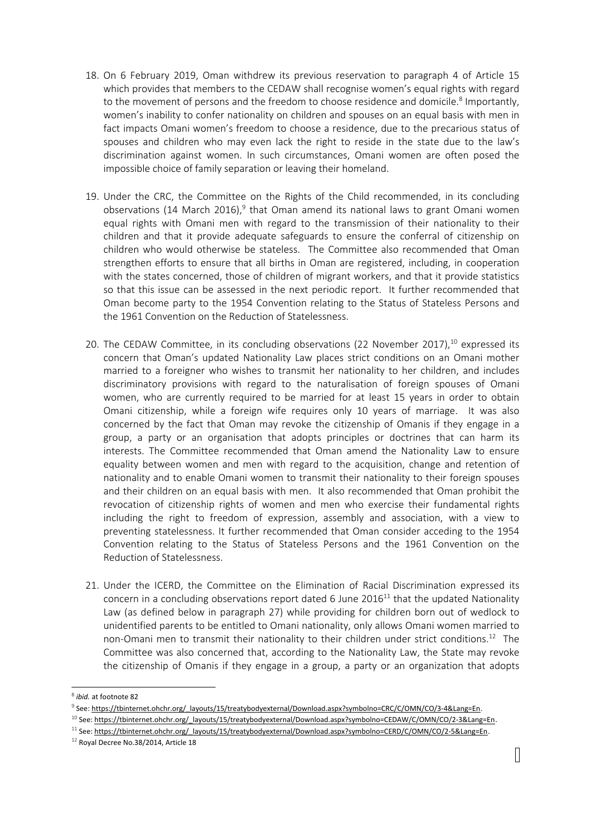- 18. On 6 February 2019, Oman withdrew its previous reservation to paragraph 4 of Article 15 which provides that members to the CEDAW shall recognise women'<sup>s</sup> equal rights with regard to the movement of persons and the freedom to choose residence and domicile.<sup>8</sup> Importantly, women'<sup>s</sup> inability to confer nationality on children and spouses on an equal basis with men in fact impacts Omani women'<sup>s</sup> freedom to choose <sup>a</sup> residence, due to the precarious status of spouses and children who may even lack the right to reside in the state due to the law'<sup>s</sup> discrimination against women. In such circumstances, Omani women are often posed the impossible choice of family separation or leaving their homeland.
- 19. Under the CRC, the Committee on the Rights of the Child recommended, in its concluding observations (14 March 2016),<sup>9</sup> that Oman amend its national laws to grant Omani women equal rights with Omani men with regard to the transmission of their nationality to their children and that it provide adequate safeguards to ensure the conferral of citizenship on children who would otherwise be stateless. The Committee also recommended that Oman strengthen efforts to ensure that all births in Oman are registered, including, in cooperation with the states concerned, those of children of migrant workers, and that it provide statistics so that this issue can be assessed in the next periodic report. It further recommended that Oman become party to the 1954 Convention relating to the Status of Stateless Persons and the 1961 Convention on the Reduction of Statelessness.
- 20. The CEDAW Committee, in its concluding observations (22 November 2017),<sup>10</sup> expressed its concern that Oman'<sup>s</sup> updated Nationality Law places strict conditions on an Omani mother married to <sup>a</sup> foreigner who wishes to transmit her nationality to her children, and includes discriminatory provisions with regard to the naturalisation of foreign spouses of Omani women, who are currently required to be married for at least 15 years in order to obtain Omani citizenship, while <sup>a</sup> foreign wife requires only 10 years of marriage. It was also concerned by the fact that Oman may revoke the citizenship of Omanis if they engage in <sup>a</sup> group, <sup>a</sup> party or an organisation that adopts principles or doctrines that can harm its interests. The Committee recommended that Oman amend the Nationality Law to ensure equality between women and men with regard to the acquisition, change and retention of nationality and to enable Omani women to transmit their nationality to their foreign spouses and their children on an equal basis with men. It also recommended that Oman prohibit the revocation of citizenship rights of women and men who exercise their fundamental rights including the right to freedom of expression, assembly and association, with <sup>a</sup> view to preventing statelessness. It further recommended that Oman consider acceding to the 1954 Convention relating to the Status of Stateless Persons and the 1961 Convention on the Reduction of Statelessness.
- 21. Under the ICERD, the Committee on the Elimination of Racial Discrimination expressed its concern in a concluding observations report dated 6 June 2016 $^{\rm 11}$  that the updated Nationality Law (as defined below in paragraph 27) while providing for children born out of wedlock to unidentified parents to be entitled to Omani nationality, only allows Omani women married to non-Omani men to transmit their nationality to their children under strict conditions.<sup>12</sup> The Committee was also concerned that, according to the Nationality Law, the State may revoke the citizenship of Omanis if they engage in <sup>a</sup> group, <sup>a</sup> party or an organization that adopts

<sup>8</sup> *ibid.* at footnote 82

<sup>9</sup> See: [https://tbinternet.ohchr.org/\\_layouts/15/treatybodyexternal/Download.aspx?symbolno=CRC/C/OMN/CO/3-4&Lang=En](https://tbinternet.ohchr.org/_layouts/15/treatybodyexternal/Download.aspx?symbolno=CRC/C/OMN/CO/3-4&Lang=En).

<sup>&</sup>lt;sup>10</sup> See: [https://tbinternet.ohchr.org/\\_layouts/15/treatybodyexternal/Download.aspx?symbolno=CEDAW/C/OMN/CO/2-3&Lang=En](https://tbinternet.ohchr.org/_layouts/15/treatybodyexternal/Download.aspx?symbolno=CEDAW/C/OMN/CO/2-3&Lang=En).

<sup>11</sup> See: [https://tbinternet.ohchr.org/\\_layouts/15/treatybodyexternal/Download.aspx?symbolno=CERD/C/OMN/CO/2-5&Lang=En](https://tbinternet.ohchr.org/_layouts/15/treatybodyexternal/Download.aspx?symbolno=CERD/C/OMN/CO/2-5&Lang=En).

 $^{12}$  Royal Decree No.38/2014, Article 18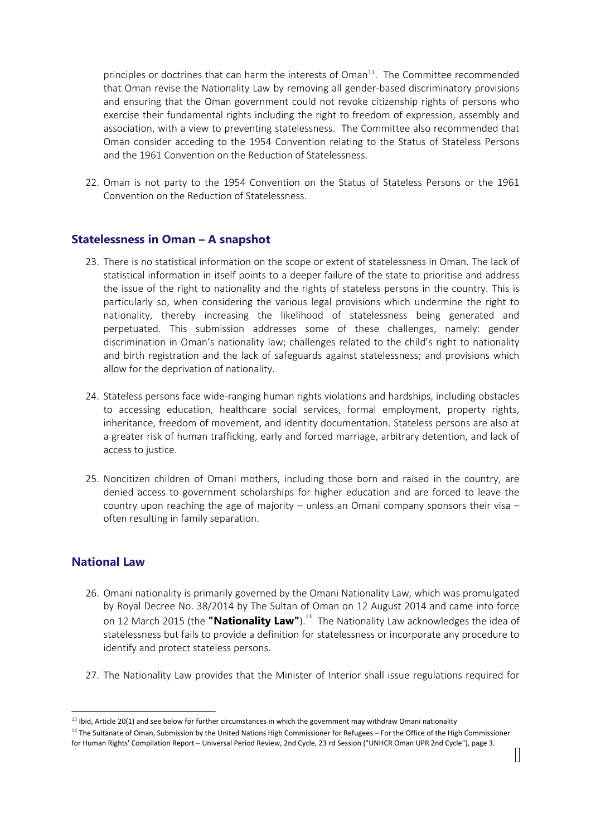principles or doctrines that can harm the interests of Oman<sup>13</sup>. The Committee recommended that Oman revise the Nationality Law by removing all gender-based discriminatory provisions and ensuring that the Oman government could not revoke citizenship rights of persons who exercise their fundamental rights including the right to freedom of expression, assembly and association, with <sup>a</sup> view to preventing statelessness. The Committee also recommended that Oman consider acceding to the 1954 Convention relating to the Status of Stateless Persons and the 1961 Convention on the Reduction of Statelessness.

22. Oman is not party to the 1954 Convention on the Status of Stateless Persons or the 1961 Convention on the Reduction of Statelessness.

#### **Statelessness in Oman – A snapshot**

- 23. There is no statistical information on the scope or extent of statelessness in Oman. The lack of statistical information in itself points to <sup>a</sup> deeper failure of the state to prioritise and address the issue of the right to nationality and the rights of stateless persons in the country. This is particularly so, when considering the various legal provisions which undermine the right to nationality, thereby increasing the likelihood of statelessness being generated and perpetuated. This submission addresses some of these challenges, namely: gender discrimination in Oman'<sup>s</sup> nationality law; challenges related to the child'<sup>s</sup> right to nationality and birth registration and the lack of safeguards against statelessness; and provisions which allow for the deprivation of nationality.
- 24. Stateless persons face wide-ranging human rights violations and hardships, including obstacles to accessing education, healthcare social services, formal employment, property rights, inheritance, freedom of movement, and identity documentation. Stateless persons are also at <sup>a</sup> greater risk of human trafficking, early and forced marriage, arbitrary detention, and lack of access to justice.
- 25. Noncitizen children of Omani mothers, including those born and raised in the country, are denied access to government scholarships for higher education and are forced to leave the country upon reaching the age of majority – unless an Omani company sponsors their visa – often resulting in family separation.

#### **National Law**

- 26. Omani nationality is primarily governed by the Omani Nationality Law, which was promulgated by Royal Decree No. 38/2014 by The Sultan of Oman on 12 August 2014 and came into force on <sup>12</sup> March <sup>2015</sup> (the **"Nationality Law"**). 14 The Nationality Law acknowledges the idea of statelessness but fails to provide <sup>a</sup> definition for statelessness or incorporate any procedure to identify and protect stateless persons.
- 27. The Nationality Law provides that the Minister of Interior shall issue regulations required for

 $^{13}$  Ibid, Article 20(1) and see below for further circumstances in which the government may withdraw Omani nationality

<sup>&</sup>lt;sup>14</sup> The Sultanate of Oman, Submission by the United Nations High Commissioner for Refugees – For the Office of the High Commissioner for Human Rights' Compilation Report – Universal Period Review, 2nd Cycle, 23 rd Session ("UNHCR Oman UPR 2nd Cycle"), page 3.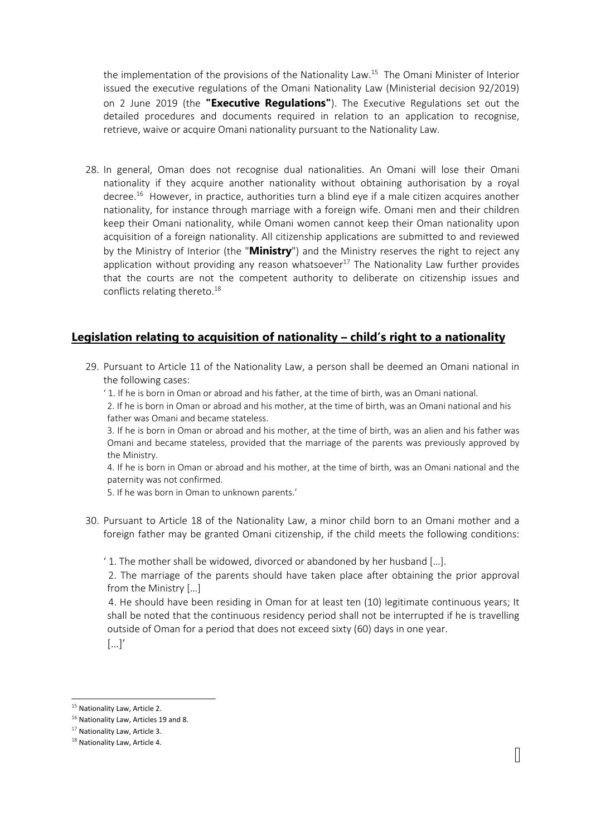the implementation of the provisions of the Nationality Law. 15 The Omani Minister of Interior issued the executive regulations of the Omani Nationality Law (Ministerial decision 92/2019) on <sup>2</sup> June <sup>2019</sup> (the **"Executive Regulations"**). The Executive Regulations set out the detailed procedures and documents required in relation to an application to recognise, retrieve, waive or acquire Omani nationality pursuant to the Nationality Law.

28. In general, Oman does not recognise dual nationalities. An Omani will lose their Omani nationality if they acquire another nationality without obtaining authorisation by <sup>a</sup> royal decree.<sup>16</sup> However, in practice, authorities turn a blind eye if a male citizen acquires another nationality, for instance through marriage with <sup>a</sup> foreign wife. Omani men and their children keep their Omani nationality, while Omani women cannot keep their Oman nationality upon acquisition of <sup>a</sup> foreign nationality. All citizenship applications are submitted to and reviewed by the Ministry of Interior (the "**Ministry**") and the Ministry reserves the right to reject any application without providing any reason whatsoever<sup>17</sup> The Nationality Law further provides that the courts are not the competent authority to deliberate on citizenship issues and conflicts relating thereto. $^\mathrm{18}$ 

## **Legislation relating to acquisition of nationality – child'<sup>s</sup> right to <sup>a</sup> nationality**

29. Pursuant to Article 11 of the Nationality Law, <sup>a</sup> person shall be deemed an Omani national in the following cases:

' 1. If he is born in Oman or abroad and his father, at the time of birth, was an Omani national.

2. If he is born in Oman or abroad and his mother, at the time of birth, was an Omani national and his father was Omani and became stateless.

3. If he is born in Oman or abroad and his mother, at the time of birth, was an alien and his father was Omani and became stateless, provided that the marriage of the parents was previously approved by the Ministry.

4. If he is born in Oman or abroad and his mother, at the time of birth, was an Omani national and the paternity was not confirmed.

5. If he was born in Oman to unknown parents.'

30. Pursuant to Article 18 of the Nationality Law, <sup>a</sup> minor child born to an Omani mother and <sup>a</sup> foreign father may be granted Omani citizenship, if the child meets the following conditions:

' 1. The mother shall be widowed, divorced or abandoned by her husband […].

2. The marriage of the parents should have taken place after obtaining the prior approval from the Ministry […]

4. He should have been residing in Oman for at least ten (10) legitimate continuous years; It shall be noted that the continuous residency period shall not be interrupted if he is travelling outside of Oman for <sup>a</sup> period that does not exceed sixty (60) days in one year.

 $\left[\ldots\right]'$ 

<sup>&</sup>lt;sup>15</sup> Nationality Law, Article 2.

 $^{16}$  Nationality Law, Articles 19 and 8.

 $^{17}$  Nationality Law, Article 3.

 $^{18}$  Nationality Law, Article 4.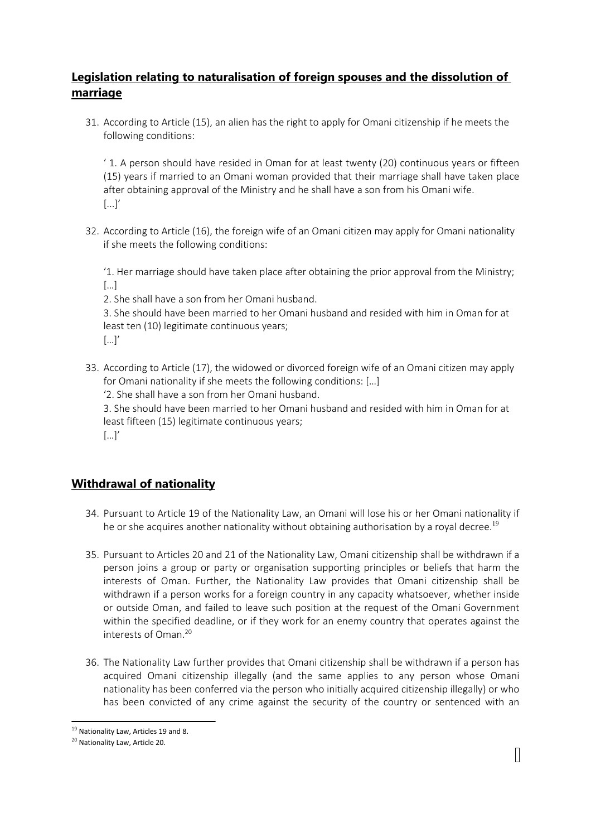# **Legislation relating to naturalisation of foreign spouses and the dissolution of marriage**

31. According to Article (15), an alien has the right to apply for Omani citizenship if he meets the following conditions:

' 1. A person should have resided in Oman for at least twenty (20) continuous years or fifteen (15) years if married to an Omani woman provided that their marriage shall have taken place after obtaining approval of the Ministry and he shall have <sup>a</sup> son from his Omani wife.  $[\dots]'$ 

32. According to Article (16), the foreign wife of an Omani citizen may apply for Omani nationality if she meets the following conditions:

'1. Her marriage should have taken place after obtaining the prior approval from the Ministry; […]

2. She shall have <sup>a</sup> son from her Omani husband.

3. She should have been married to her Omani husband and resided with him in Oman for at least ten (10) legitimate continuous years; […]'

33. According to Article (17), the widowed or divorced foreign wife of an Omani citizen may apply for Omani nationality if she meets the following conditions: […]

'2. She shall have <sup>a</sup> son from her Omani husband.

3. She should have been married to her Omani husband and resided with him in Oman for at least fifteen (15) legitimate continuous years;

 $[\dots]'$ 

# **Withdrawal of nationality**

- 34. Pursuant to Article 19 of the Nationality Law, an Omani will lose his or her Omani nationality if he or she acquires another nationality without obtaining authorisation by a royal decree.<sup>19</sup>
- 35. Pursuant to Articles 20 and 21 of the Nationality Law, Omani citizenship shall be withdrawn if <sup>a</sup> person joins <sup>a</sup> group or party or organisation supporting principles or beliefs that harm the interests of Oman. Further, the Nationality Law provides that Omani citizenship shall be withdrawn if <sup>a</sup> person works for <sup>a</sup> foreign country in any capacity whatsoever, whether inside or outside Oman, and failed to leave such position at the request of the Omani Government within the specified deadline, or if they work for an enemy country that operates against the interests of Oman. 20
- 36. The Nationality Law further provides that Omani citizenship shall be withdrawn if <sup>a</sup> person has acquired Omani citizenship illegally (and the same applies to any person whose Omani nationality has been conferred via the person who initially acquired citizenship illegally) or who has been convicted of any crime against the security of the country or sentenced with an

<sup>&</sup>lt;sup>19</sup> Nationality Law, Articles 19 and 8.

<sup>&</sup>lt;sup>20</sup> Nationality Law, Article 20.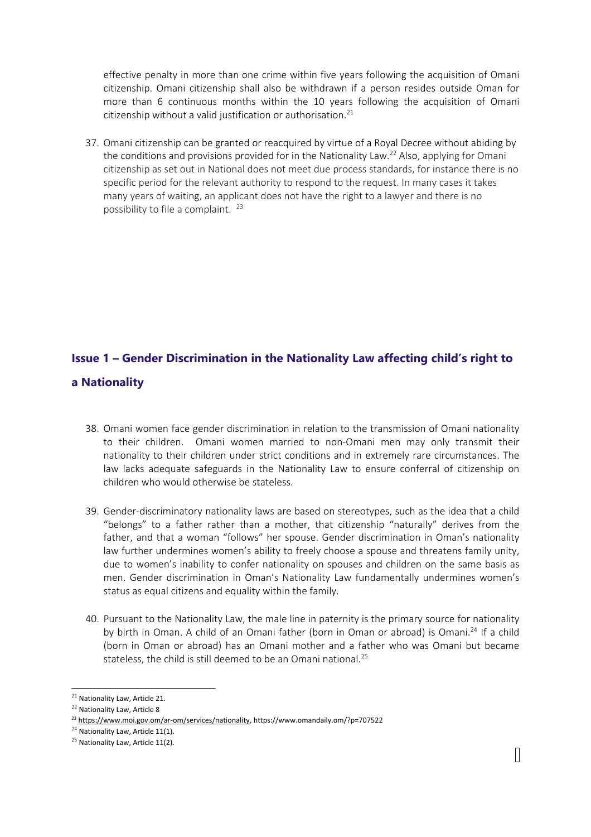effective penalty in more than one crime within five years following the acquisition of Omani citizenship. Omani citizenship shall also be withdrawn if <sup>a</sup> person resides outside Oman for more than 6 continuous months within the 10 years following the acquisition of Omani citizenship without <sup>a</sup> valid justification or authorisation. 21

37. Omani citizenship can be granted or reacquired by virtue of <sup>a</sup> Royal Decree without abiding by the conditions and provisions provided for in the Nationality Law.<sup>22</sup> Also, applying for Omani citizenship as set out in National does not meet due process standards, for instance there is no specific period for the relevant authority to respond to the request. In many cases it takes many years of waiting, an applicant does not have the right to <sup>a</sup> lawyer and there is no possibility to file a complaint. <sup>23</sup>

# **Issue 1 – Gender Discrimination in the Nationality Law affecting child'<sup>s</sup> right to <sup>a</sup> Nationality**

- 38. Omani women face gender discrimination in relation to the transmission of Omani nationality to their children. Omani women married to non-Omani men may only transmit their nationality to their children under strict conditions and in extremely rare circumstances. The law lacks adequate safeguards in the Nationality Law to ensure conferral of citizenship on children who would otherwise be stateless.
- 39. Gender-discriminatory nationality laws are based on stereotypes, such as the idea that <sup>a</sup> child "belongs" to <sup>a</sup> father rather than <sup>a</sup> mother, that citizenship "naturally" derives from the father, and that <sup>a</sup> woman "follows" her spouse. Gender discrimination in Oman'<sup>s</sup> nationality law further undermines women'<sup>s</sup> ability to freely choose <sup>a</sup> spouse and threatens family unity, due to women'<sup>s</sup> inability to confer nationality on spouses and children on the same basis as men. Gender discrimination in Oman'<sup>s</sup> Nationality Law fundamentally undermines women'<sup>s</sup> status as equal citizens and equality within the family.
- 40. Pursuant to the Nationality Law, the male line in paternity is the primary source for nationality by birth in Oman. A child of an Omani father (born in Oman or abroad) is Omani.<sup>24</sup> If a child (born in Oman or abroad) has an Omani mother and <sup>a</sup> father who was Omani but became stateless, the child is still deemed to be an Omani national. 25

 $^{21}$  Nationality Law, Article 21.

<sup>&</sup>lt;sup>22</sup> Nationality Law, Article 8

<sup>&</sup>lt;sup>23</sup> [https://www.moi.gov.om/ar-om/services/nationality,](https://www.moi.gov.om/ar-om/services/nationality) https://www.omandaily.om/?p=707522

 $24$  Nationality Law, Article 11(1).

<sup>&</sup>lt;sup>25</sup> Nationality Law, Article 11(2).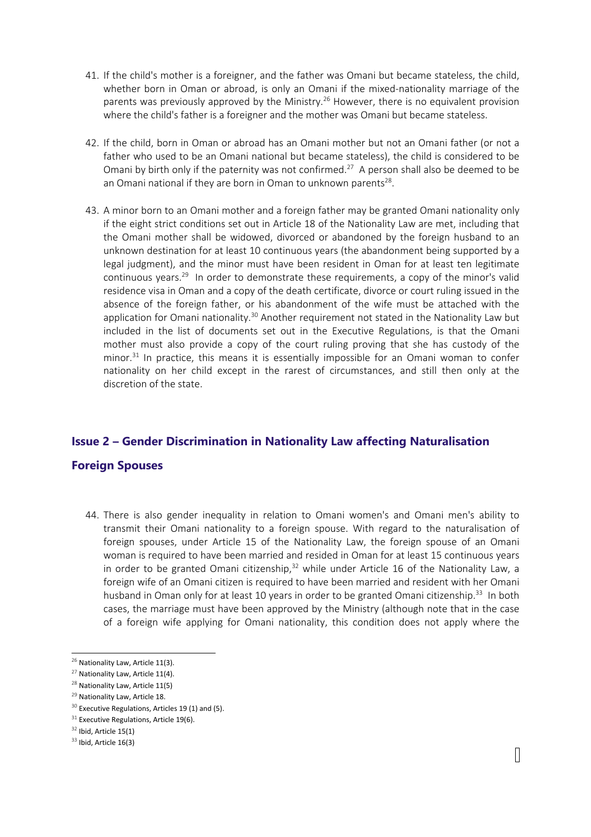- 41. If the child's mother is <sup>a</sup> foreigner, and the father was Omani but became stateless, the child, whether born in Oman or abroad, is only an Omani if the mixed-nationality marriage of the parents was previously approved by the Ministry.<sup>26</sup> However, there is no equivalent provision where the child's father is <sup>a</sup> foreigner and the mother was Omani but became stateless.
- 42. If the child, born in Oman or abroad has an Omani mother but not an Omani father (or not <sup>a</sup> father who used to be an Omani national but became stateless), the child is considered to be Omani by birth only if the paternity was not confirmed.<sup>27</sup> A person shall also be deemed to be an Omani national if they are born in Oman to unknown parents<sup>28</sup>.
- 43. A minor born to an Omani mother and <sup>a</sup> foreign father may be granted Omani nationality only if the eight strict conditions set out in Article 18 of the Nationality Law are met, including that the Omani mother shall be widowed, divorced or abandoned by the foreign husband to an unknown destination for at least 10 continuous years (the abandonment being supported by <sup>a</sup> legal judgment), and the minor must have been resident in Oman for at least ten legitimate continuous years.<sup>29</sup> In order to demonstrate these requirements, a copy of the minor's valid residence visa in Oman and <sup>a</sup> copy of the death certificate, divorce or court ruling issued in the absence of the foreign father, or his abandonment of the wife must be attached with the application for Omani nationality.<sup>30</sup> Another requirement not stated in the Nationality Law but included in the list of documents set out in the Executive Regulations, is that the Omani mother must also provide <sup>a</sup> copy of the court ruling proving that she has custody of the minor. 31 In practice, this means it is essentially impossible for an Omani woman to confer nationality on her child except in the rarest of circumstances, and still then only at the discretion of the state.

# **Issue 2 – Gender Discrimination in Nationality Law affecting Naturalisation**

#### **Foreign Spouses**

44. There is also gender inequality in relation to Omani women's and Omani men's ability to transmit their Omani nationality to <sup>a</sup> foreign spouse. With regard to the naturalisation of foreign spouses, under Article 15 of the Nationality Law, the foreign spouse of an Omani woman is required to have been married and resided in Oman for at least 15 continuous years in order to be granted Omani citizenship, $32$  while under Article 16 of the Nationality Law, a foreign wife of an Omani citizen is required to have been married and resident with her Omani husband in Oman only for at least 10 years in order to be granted Omani citizenship.<sup>33</sup> In both cases, the marriage must have been approved by the Ministry (although note that in the case of <sup>a</sup> foreign wife applying for Omani nationality, this condition does not apply where the

<sup>&</sup>lt;sup>26</sup> Nationality Law, Article 11(3).

 $27$  Nationality Law, Article 11(4).

 $^{28}$  Nationality Law, Article 11(5)

<sup>&</sup>lt;sup>29</sup> Nationality Law, Article 18.

 $30$  Executive Regulations, Articles 19 (1) and (5).

 $31$  Executive Regulations, Article 19(6).

 $32$  Ibid, Article 15(1)

 $33$  Ibid, Article 16(3)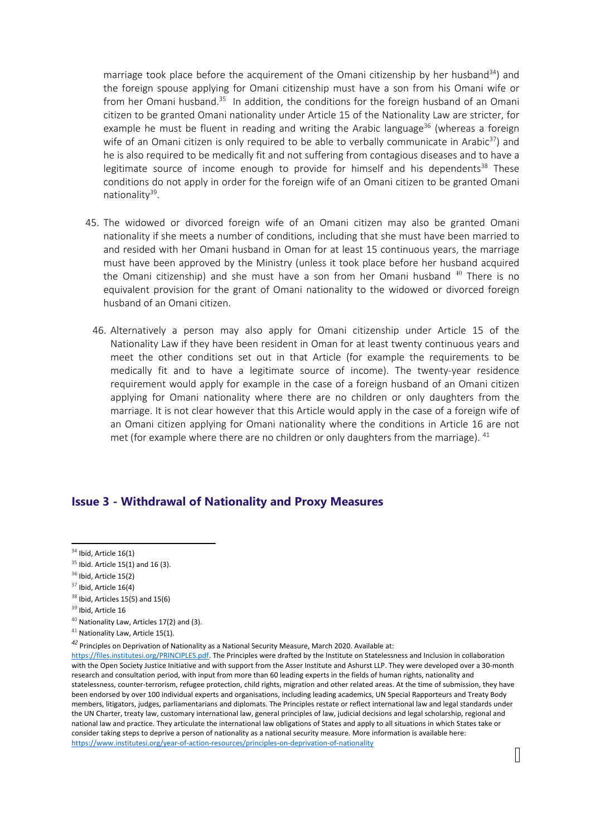marriage took place before the acquirement of the Omani citizenship by her husband $^{34}$ ) and the foreign spouse applying for Omani citizenship must have <sup>a</sup> son from his Omani wife or from her Omani husband.<sup>35</sup> In addition, the conditions for the foreign husband of an Omani citizen to be granted Omani nationality under Article 15 of the Nationality Law are stricter, for example he must be fluent in reading and writing the Arabic language<sup>36</sup> (whereas a foreign wife of an Omani citizen is only required to be able to verbally communicate in Arabic $^{37}$ ) and he is also required to be medically fit and not suffering from contagious diseases and to have <sup>a</sup> legitimate source of income enough to provide for himself and his dependents<sup>38</sup> These conditions do not apply in order for the foreign wife of an Omani citizen to be granted Omani nationality<sup>39</sup>.

- 45. The widowed or divorced foreign wife of an Omani citizen may also be granted Omani nationality if she meets <sup>a</sup> number of conditions, including that she must have been married to and resided with her Omani husband in Oman for at least 15 continuous years, the marriage must have been approved by the Ministry (unless it took place before her husband acquired the Omani citizenship) and she must have a son from her Omani husband <sup>40</sup> There is no equivalent provision for the grant of Omani nationality to the widowed or divorced foreign husband of an Omani citizen.
- 46. Alternatively <sup>a</sup> person may also apply for Omani citizenship under Article 15 of the Nationality Law if they have been resident in Oman for at least twenty continuous years and meet the other conditions set out in that Article (for example the requirements to be medically fit and to have <sup>a</sup> legitimate source of income). The twenty-year residence requirement would apply for example in the case of <sup>a</sup> foreign husband of an Omani citizen applying for Omani nationality where there are no children or only daughters from the marriage. It is not clear however that this Article would apply in the case of <sup>a</sup> foreign wife of an Omani citizen applying for Omani nationality where the conditions in Article 16 are not met (for example where there are no children or only daughters from the marriage). <sup>41</sup>

#### **Issue 3 - Withdrawal of Nationality and Proxy Measures**

 $^{34}$  Ibid, Article 16(1)

 $35$  Ibid. Article 15(1) and 16 (3).

 $36$  Ibid, Article 15(2)

 $^{37}$  Ibid, Article 16(4)

 $38$  Ibid, Articles 15(5) and 15(6)

<sup>&</sup>lt;sup>39</sup> Ibid, Article 16

 $^{40}$  Nationality Law, Articles 17(2) and (3).

 $41$  Nationality Law, Article 15(1).

*<sup>42</sup>* Principles on Deprivation of Nationality as <sup>a</sup> National Security Measure, March 2020. Available at:

<https://files.institutesi.org/PRINCIPLES.pdf>. The Principles were drafted by the Institute on Statelessness and Inclusion in collaboration with the Open Society Justice Initiative and with support from the Asser Institute and Ashurst LLP. They were developed over <sup>a</sup> 30-month research and consultation period, with input from more than 60 leading experts in the fields of human rights, nationality and statelessness, counter-terrorism, refugee protection, child rights, migration and other related areas. At the time of submission, they have been endorsed by over 100 individual experts and organisations, including leading academics, UN Special Rapporteurs and Treaty Body members, litigators, judges, parliamentarians and diplomats. The Principles restate or reflect international law and legal standards under the UN Charter, treaty law, customary international law, general principles of law, judicial decisions and legal scholarship, regional and national law and practice. They articulate the international law obligations of States and apply to all situations in which States take or consider taking steps to deprive <sup>a</sup> person of nationality as <sup>a</sup> national security measure. More information is available here: <https://www.institutesi.org/year-of-action-resources/principles-on-deprivation-of-nationality>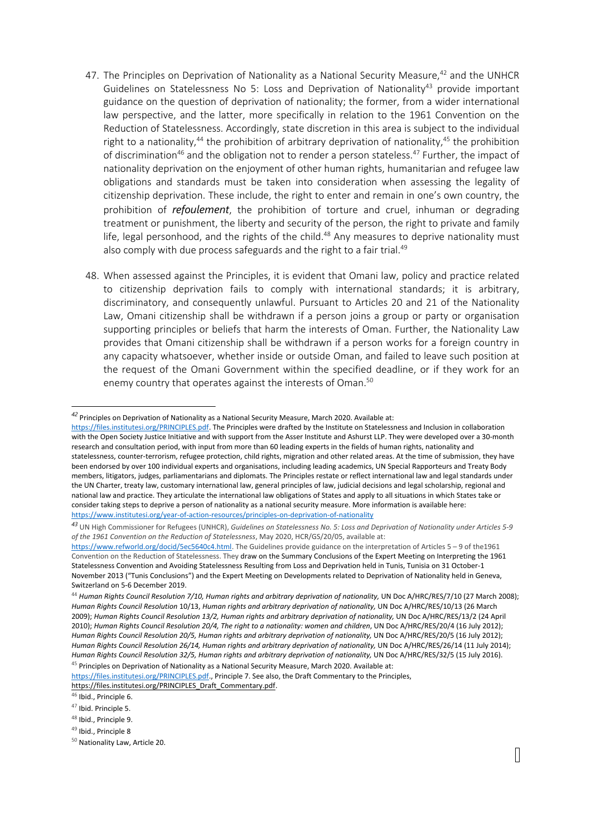- 47. The Principles on Deprivation of Nationality as a National Security Measure,<sup>42</sup> and the UNHCR Guidelines on Statelessness No 5: Loss and Deprivation of Nationality $^{43}$  provide important guidance on the question of deprivation of nationality; the former, from <sup>a</sup> wider international law perspective, and the latter, more specifically in relation to the 1961 Convention on the Reduction of Statelessness. Accordingly, state discretion in this area is subject to the individual right to a nationality,<sup>44</sup> the prohibition of arbitrary deprivation of nationality,<sup>45</sup> the prohibition of discrimination<sup>46</sup> and the obligation not to render a person stateless.<sup>47</sup> Further, the impact of nationality deprivation on the enjoyment of other human rights, humanitarian and refugee law obligations and standards must be taken into consideration when assessing the legality of citizenship deprivation. These include, the right to enter and remain in one'<sup>s</sup> own country, the prohibition of *refoulement*, the prohibition of torture and cruel, inhuman or degrading treatment or punishment, the liberty and security of the person, the right to private and family life, legal personhood, and the rights of the child.<sup>48</sup> Any measures to deprive nationality must also comply with due process safeguards and the right to a fair trial.<sup>49</sup>
- 48. When assessed against the Principles, it is evident that Omani law, policy and practice related to citizenship deprivation fails to comply with international standards; it is arbitrary, discriminatory, and consequently unlawful. Pursuant to Articles 20 and 21 of the Nationality Law, Omani citizenship shall be withdrawn if <sup>a</sup> person joins <sup>a</sup> group or party or organisation supporting principles or beliefs that harm the interests of Oman. Further, the Nationality Law provides that Omani citizenship shall be withdrawn if <sup>a</sup> person works for <sup>a</sup> foreign country in any capacity whatsoever, whether inside or outside Oman, and failed to leave such position at the request of the Omani Government within the specified deadline, or if they work for an enemy country that operates against the interests of Oman. 50

<https://files.institutesi.org/PRINCIPLES.pdf>., Principle 7. See also, the Draft Commentary to the Principles,

[https://files.institutesi.org/PRINCIPLES\\_Draft\\_Commentary.pdf](https://files.institutesi.org/PRINCIPLES_Draft_Commentary.pdf).

<sup>49</sup> Ibid., Principle 8

*<sup>42</sup>* Principles on Deprivation of Nationality as <sup>a</sup> National Security Measure, March 2020. Available at:

<https://files.institutesi.org/PRINCIPLES.pdf>. The Principles were drafted by the Institute on Statelessness and Inclusion in collaboration with the Open Society Justice Initiative and with support from the Asser Institute and Ashurst LLP. They were developed over <sup>a</sup> 30-month research and consultation period, with input from more than 60 leading experts in the fields of human rights, nationality and statelessness, counter-terrorism, refugee protection, child rights, migration and other related areas. At the time of submission, they have been endorsed by over 100 individual experts and organisations, including leading academics, UN Special Rapporteurs and Treaty Body members, litigators, judges, parliamentarians and diplomats. The Principles restate or reflect international law and legal standards under the UN Charter, treaty law, customary international law, general principles of law, judicial decisions and legal scholarship, regional and national law and practice. They articulate the international law obligations of States and apply to all situations in which States take or consider taking steps to deprive <sup>a</sup> person of nationality as <sup>a</sup> national security measure. More information is available here: <https://www.institutesi.org/year-of-action-resources/principles-on-deprivation-of-nationality>

<sup>&</sup>lt;sup>43</sup> UN High Commissioner for Refugees (UNHCR), *Guidelines on Statelessness No. 5: Loss and Deprivation of Nationality under Articles 5-9 of the 1961 Convention on the Reduction of Statelessness*, May 2020, HCR/GS/20/05, available at:

<https://www.refworld.org/docid/5ec5640c4.html>. The Guidelines provide guidance on the interpretation of Articles 5 – 9 of the1961 Convention on the Reduction of Statelessness. They draw on the Summary Conclusions of the Expert Meeting on Interpreting the 1961 Statelessness Convention and Avoiding Statelessness Resulting from Loss and Deprivation held in Tunis, Tunisia on 31 October-1 November 2013 ("Tunis Conclusions") and the Expert Meeting on Developments related to Deprivation of Nationality held in Geneva, Switzerland on 5-6 December 2019.

<sup>44</sup> *Human Rights Council Resolution 7/10, Human rights and arbitrary deprivation of nationality,* UN Doc A/HRC/RES/7/10 (27 March 2008); *Human Rights Council Resolution* 10/13, *Human rights and arbitrary deprivation of nationality,* UN Doc A/HRC/RES/10/13 (26 March 2009); *Human Rights Council Resolution 13/2, Human rights and arbitrary deprivation of nationality,* UN Doc A/HRC/RES/13/2 (24 April 2010); *Human Rights Council Resolution 20/4, The right to <sup>a</sup> nationality: women and children*, UN Doc A/HRC/RES/20/4 (16 July 2012); *Human Rights Council Resolution 20/5, Human rights and arbitrary deprivation of nationality,* UN Doc A/HRC/RES/20/5 (16 July 2012); *Human Rights Council Resolution 26/14, Human rights and arbitrary deprivation of nationality,* UN Doc A/HRC/RES/26/14 (11 July 2014); *Human Rights Council Resolution 32/5, Human rights and arbitrary deprivation of nationality,* UN Doc A/HRC/RES/32/5 (15 July 2016). <sup>45</sup> Principles on Deprivation of Nationality as a National Security Measure, March 2020. Available at:

<sup>&</sup>lt;sup>46</sup> Ibid., Principle 6.

<sup>&</sup>lt;sup>47</sup> Ibid. Principle 5.

<sup>&</sup>lt;sup>48</sup> Ibid., Principle 9.

<sup>&</sup>lt;sup>50</sup> Nationality Law, Article 20.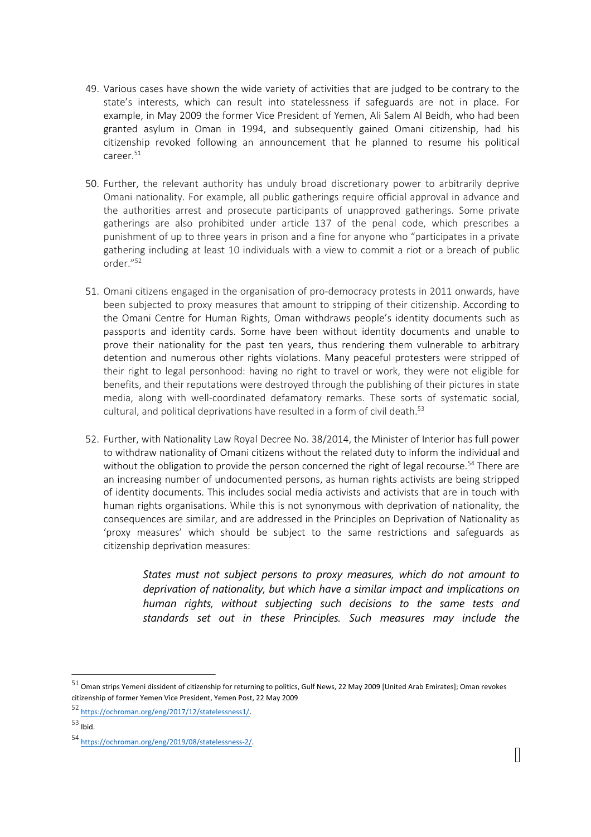- 49. Various cases have shown the wide variety of activities that are judged to be contrary to the state'<sup>s</sup> interests, which can result into statelessness if safeguards are not in place. For example, in May 2009 the former Vice President of Yemen, Ali Salem Al Beidh, who had been granted asylum in Oman in 1994, and subsequently gained Omani citizenship, had his citizenship revoked following an announcement that he planned to resume his political career.<sup>51</sup>
- 50. Further, the relevant authority has unduly broad discretionary power to arbitrarily deprive Omani nationality. For example, all public gatherings require official approval in advance and the authorities arrest and prosecute participants of unapproved gatherings. Some private gatherings are also prohibited under article 137 of the penal code, which prescribes <sup>a</sup> punishment of up to three years in prison and <sup>a</sup> fine for anyone who "participates in <sup>a</sup> private gathering including at least 10 individuals with <sup>a</sup> view to commit <sup>a</sup> riot or <sup>a</sup> breach of public order."<sup>52</sup>
- 51. Omani citizens engaged in the organisation of pro-democracy protests in 2011 onwards, have been subjected to proxy measures that amount to stripping of their citizenship. According to the Omani Centre for Human Rights, Oman withdraws people'<sup>s</sup> identity documents such as passports and identity cards. Some have been without identity documents and unable to prove their nationality for the past ten years, thus rendering them vulnerable to arbitrary detention and numerous other rights violations. Many peaceful protesters were stripped of their right to legal personhood: having no right to travel or work, they were not eligible for benefits, and their reputations were destroyed through the publishing of their pictures in state media, along with well-coordinated defamatory remarks. These sorts of systematic social, cultural, and political deprivations have resulted in <sup>a</sup> form of civil death. 53
- 52. Further, with Nationality Law Royal Decree No. 38/2014, the Minister of Interior has full power to withdraw nationality of Omani citizens without the related duty to inform the individual and without the obligation to provide the person concerned the right of legal recourse.<sup>54</sup> There are an increasing number of undocumented persons, as human rights activists are being stripped of identity documents. This includes social media activists and activists that are in touch with human rights organisations. While this is not synonymous with deprivation of nationality, the consequences are similar, and are addressed in the Principles on Deprivation of Nationality as 'proxy measures' which should be subject to the same restrictions and safeguards as citizenship deprivation measures:

*States must not subject persons to proxy measures, which do not amount to deprivation of nationality, but which have <sup>a</sup> similar impact and implications on human rights, without subjecting such decisions to the same tests and standards set out in these Principles. Such measures may include the*

 $^{51}$  Oman strips Yemeni dissident of citizenship for returning to politics, Gulf News, 22 May 2009 [United Arab Emirates]; Oman revokes citizenship of former Yemen Vice President, Yemen Post, 22 May 2009

<sup>52</sup> <https://ochroman.org/eng/2017/12/statelessness1/>.

 $^{\rm 53}$  Ibid.

<sup>54</sup> <https://ochroman.org/eng/2019/08/statelessness-2/>.